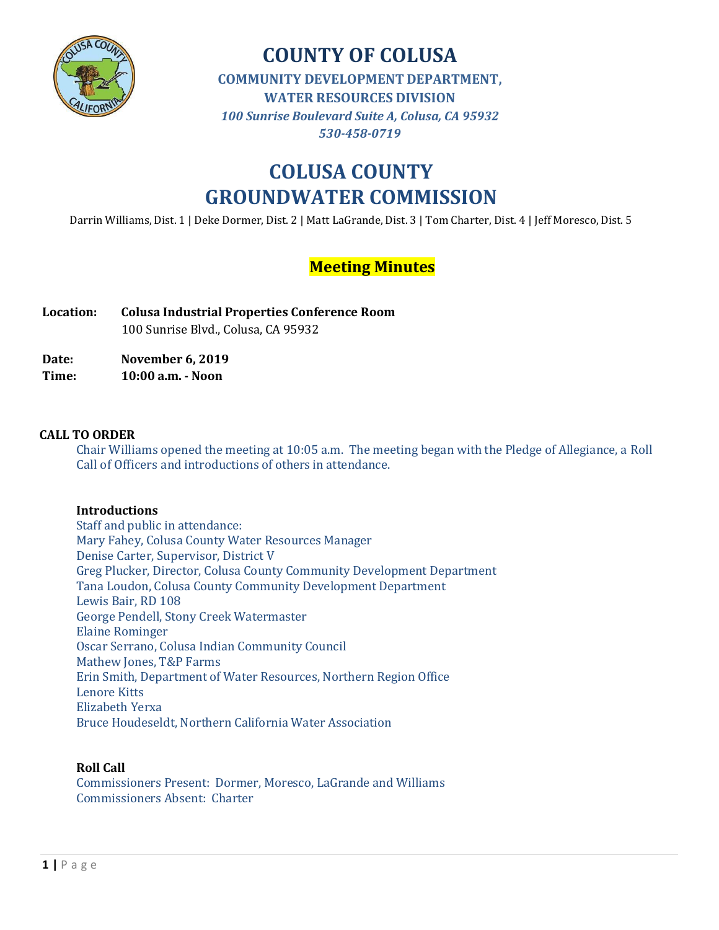

## **COUNTY OF COLUSA COMMUNITY DEVELOPMENT DEPARTMENT, WATER RESOURCES DIVISION** *100 Sunrise Boulevard Suite A, Colusa, CA 95932 530-458-0719*

# **COLUSA COUNTY GROUNDWATER COMMISSION**

Darrin Williams, Dist. 1 | Deke Dormer, Dist. 2 | Matt LaGrande, Dist. 3 | Tom Charter, Dist. 4 | Jeff Moresco, Dist. 5

## **Meeting Minutes**

**Location: Colusa Industrial Properties Conference Room** 100 Sunrise Blvd., Colusa, CA 95932

**Date: November 6, 2019**

**Time: 10:00 a.m. - Noon**

### **CALL TO ORDER**

Chair Williams opened the meeting at 10:05 a.m. The meeting began with the Pledge of Allegiance, a Roll Call of Officers and introductions of others in attendance.

## **Introductions**

Staff and public in attendance: Mary Fahey, Colusa County Water Resources Manager Denise Carter, Supervisor, District V Greg Plucker, Director, Colusa County Community Development Department Tana Loudon, Colusa County Community Development Department Lewis Bair, RD 108 George Pendell, Stony Creek Watermaster Elaine Rominger Oscar Serrano, Colusa Indian Community Council Mathew Jones, T&P Farms Erin Smith, Department of Water Resources, Northern Region Office Lenore Kitts Elizabeth Yerxa Bruce Houdeseldt, Northern California Water Association

## **Roll Call**

Commissioners Present: Dormer, Moresco, LaGrande and Williams Commissioners Absent: Charter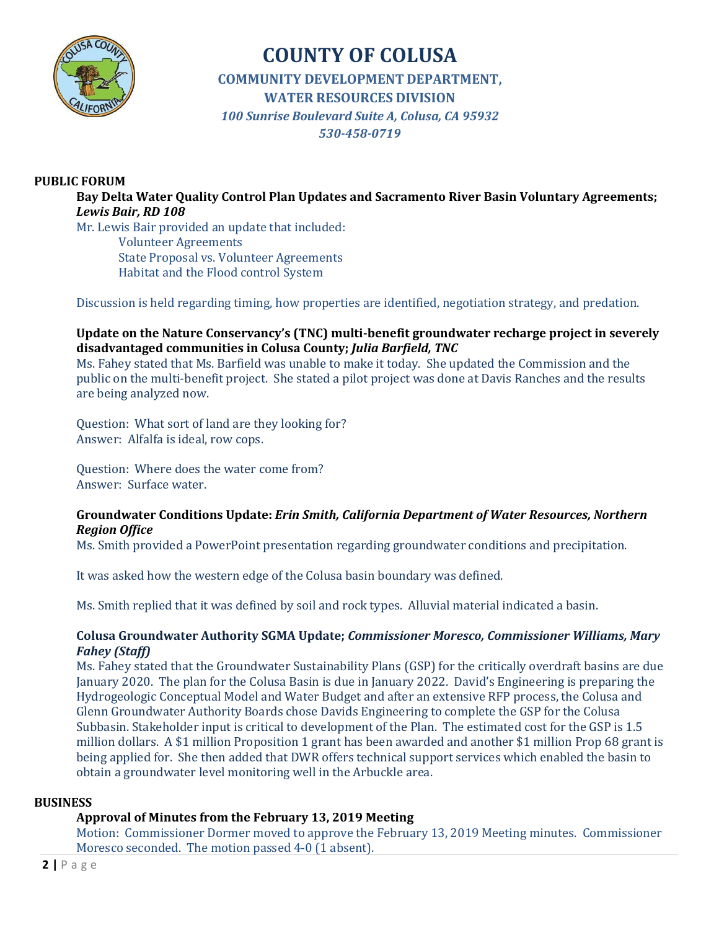

## **COUNTY OF COLUSA COMMUNITY DEVELOPMENT DEPARTMENT, WATER RESOURCES DIVISION** *100 Sunrise Boulevard Suite A, Colusa, CA 95932 530-458-0719*

## **PUBLIC FORUM**

**Bay Delta Water Quality Control Plan Updates and Sacramento River Basin Voluntary Agreements;**  *Lewis Bair, RD 108*

Mr. Lewis Bair provided an update that included: Volunteer Agreements State Proposal vs. Volunteer Agreements Habitat and the Flood control System

Discussion is held regarding timing, how properties are identified, negotiation strategy, and predation.

## **Update on the Nature Conservancy's (TNC) multi-benefit groundwater recharge project in severely disadvantaged communities in Colusa County;** *Julia Barfield, TNC*

Ms. Fahey stated that Ms. Barfield was unable to make it today. She updated the Commission and the public on the multi-benefit project. She stated a pilot project was done at Davis Ranches and the results are being analyzed now.

Question: What sort of land are they looking for? Answer: Alfalfa is ideal, row cops.

Question: Where does the water come from? Answer: Surface water.

### **Groundwater Conditions Update:** *Erin Smith, California Department of Water Resources, Northern Region Office*

Ms. Smith provided a PowerPoint presentation regarding groundwater conditions and precipitation.

It was asked how the western edge of the Colusa basin boundary was defined.

Ms. Smith replied that it was defined by soil and rock types. Alluvial material indicated a basin.

### **Colusa Groundwater Authority SGMA Update;** *Commissioner Moresco, Commissioner Williams, Mary Fahey (Staff)*

Ms. Fahey stated that the Groundwater Sustainability Plans (GSP) for the critically overdraft basins are due January 2020. The plan for the Colusa Basin is due in January 2022. David's Engineering is preparing the Hydrogeologic Conceptual Model and Water Budget and after an extensive RFP process, the Colusa and Glenn Groundwater Authority Boards chose Davids Engineering to complete the GSP for the Colusa Subbasin. Stakeholder input is critical to development of the Plan. The estimated cost for the GSP is 1.5 million dollars. A \$1 million Proposition 1 grant has been awarded and another \$1 million Prop 68 grant is being applied for. She then added that DWR offers technical support services which enabled the basin to obtain a groundwater level monitoring well in the Arbuckle area.

#### **BUSINESS**

## **Approval of Minutes from the February 13, 2019 Meeting**

Motion: Commissioner Dormer moved to approve the February 13, 2019 Meeting minutes. Commissioner Moresco seconded. The motion passed 4-0 (1 absent).